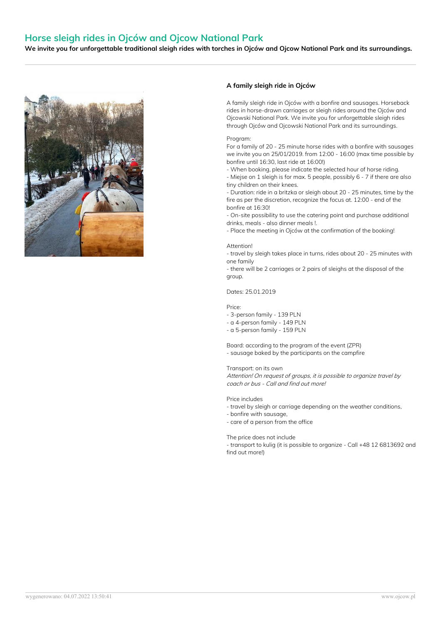# **Horse sleigh rides in Ojców and Ojcow National Park**

We invite you for unforgettable traditional sleigh rides with torches in Ojców and Ojcow National Park and its surroundings.



## **A family sleigh ride in Ojców**

A family sleigh ride in Ojców with a bonfire and sausages. Horseback rides in horse-drawn carriages or sleigh rides around the Ojców and Ojcowski National Park. We invite you for unforgettable sleigh rides through Ojców and Ojcowski National Park and its surroundings.

#### Program:

For a family of 20 - 25 minute horse rides with a bonfire with sausages we invite you on 25/01/2019. from 12:00 - 16:00 (max time possible by bonfire until 16:30, last ride at 16:00!)

- When booking, please indicate the selected hour of horse riding.

- Miejse on 1 sleigh is for max. 5 people, possibly 6 - 7 if there are also tiny children on their knees.

- Duration: ride in a britzka or sleigh about 20 - 25 minutes, time by the fire as per the discretion, recognize the focus at. 12:00 - end of the bonfire at 16:30!

- On-site possibility to use the catering point and purchase additional drinks, meals - also dinner meals !.

- Place the meeting in Ojców at the confirmation of the booking!

#### **Attention!**

- travel by sleigh takes place in turns, rides about 20 - 25 minutes with one family

- there will be 2 carriages or 2 pairs of sleighs at the disposal of the group.

### Dates: 25.01.2019

Price:

- 3-person family 139 PLN
- a 4-person family 149 PLN
- a 5-person family 159 PLN

Board: according to the program of the event (ZPR) - sausage baked by the participants on the campfire

#### Transport: on its own

Attention! On request of groups, it is possible to organize travel by coach or bus - Call and find out more!

#### Price includes

- travel by sleigh or carriage depending on the weather conditions,
- bonfire with sausage,
- care of a person from the office

#### The price does not include

- transport to kulig (it is possible to organize - Call +48 12 6813692 and find out more!)